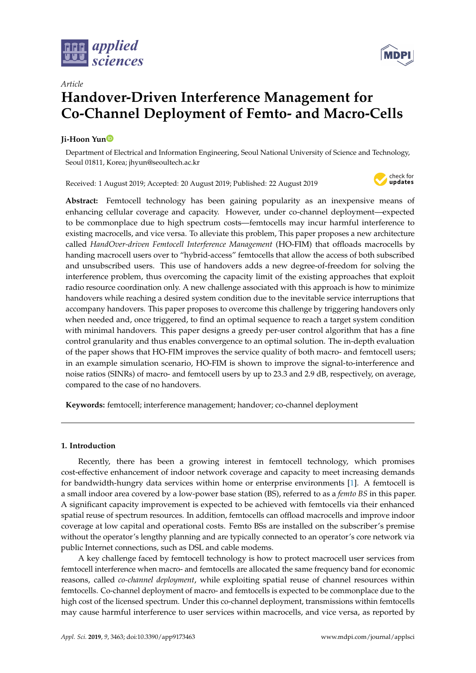



# *Article* **Handover-Driven Interference Management for Co-Channel Deployment of Femto- and Macro-Cells**

# **Ji-Hoon Yu[n](https://orcid.org/0000-0001-7438-1502)**

Department of Electrical and Information Engineering, Seoul National University of Science and Technology, Seoul 01811, Korea; jhyun@seoultech.ac.kr

Received: 1 August 2019; Accepted: 20 August 2019; Published: 22 August 2019



**Abstract:** Femtocell technology has been gaining popularity as an inexpensive means of enhancing cellular coverage and capacity. However, under co-channel deployment—expected to be commonplace due to high spectrum costs—femtocells may incur harmful interference to existing macrocells, and vice versa. To alleviate this problem, This paper proposes a new architecture called *HandOver-driven Femtocell Interference Management* (HO-FIM) that offloads macrocells by handing macrocell users over to "hybrid-access" femtocells that allow the access of both subscribed and unsubscribed users. This use of handovers adds a new degree-of-freedom for solving the interference problem, thus overcoming the capacity limit of the existing approaches that exploit radio resource coordination only. A new challenge associated with this approach is how to minimize handovers while reaching a desired system condition due to the inevitable service interruptions that accompany handovers. This paper proposes to overcome this challenge by triggering handovers only when needed and, once triggered, to find an optimal sequence to reach a target system condition with minimal handovers. This paper designs a greedy per-user control algorithm that has a fine control granularity and thus enables convergence to an optimal solution. The in-depth evaluation of the paper shows that HO-FIM improves the service quality of both macro- and femtocell users; in an example simulation scenario, HO-FIM is shown to improve the signal-to-interference and noise ratios (SINRs) of macro- and femtocell users by up to 23.3 and 2.9 dB, respectively, on average, compared to the case of no handovers.

**Keywords:** femtocell; interference management; handover; co-channel deployment

# **1. Introduction**

Recently, there has been a growing interest in femtocell technology, which promises cost-effective enhancement of indoor network coverage and capacity to meet increasing demands for bandwidth-hungry data services within home or enterprise environments [\[1\]](#page-18-0). A femtocell is a small indoor area covered by a low-power base station (BS), referred to as a *femto BS* in this paper. A significant capacity improvement is expected to be achieved with femtocells via their enhanced spatial reuse of spectrum resources. In addition, femtocells can offload macrocells and improve indoor coverage at low capital and operational costs. Femto BSs are installed on the subscriber's premise without the operator's lengthy planning and are typically connected to an operator's core network via public Internet connections, such as DSL and cable modems.

A key challenge faced by femtocell technology is how to protect macrocell user services from femtocell interference when macro- and femtocells are allocated the same frequency band for economic reasons, called *co-channel deployment*, while exploiting spatial reuse of channel resources within femtocells. Co-channel deployment of macro- and femtocells is expected to be commonplace due to the high cost of the licensed spectrum. Under this co-channel deployment, transmissions within femtocells may cause harmful interference to user services within macrocells, and vice versa, as reported by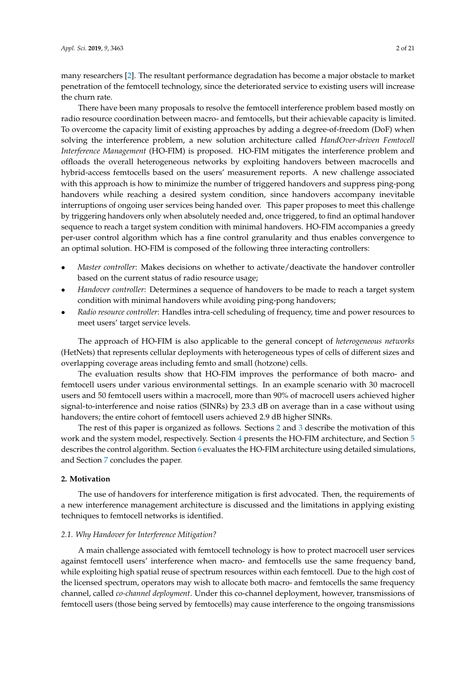many researchers [\[2\]](#page-18-1). The resultant performance degradation has become a major obstacle to market penetration of the femtocell technology, since the deteriorated service to existing users will increase the churn rate.

There have been many proposals to resolve the femtocell interference problem based mostly on radio resource coordination between macro- and femtocells, but their achievable capacity is limited. To overcome the capacity limit of existing approaches by adding a degree-of-freedom (DoF) when solving the interference problem, a new solution architecture called *HandOver-driven Femtocell Interference Management* (HO-FIM) is proposed. HO-FIM mitigates the interference problem and offloads the overall heterogeneous networks by exploiting handovers between macrocells and hybrid-access femtocells based on the users' measurement reports. A new challenge associated with this approach is how to minimize the number of triggered handovers and suppress ping-pong handovers while reaching a desired system condition, since handovers accompany inevitable interruptions of ongoing user services being handed over. This paper proposes to meet this challenge by triggering handovers only when absolutely needed and, once triggered, to find an optimal handover sequence to reach a target system condition with minimal handovers. HO-FIM accompanies a greedy per-user control algorithm which has a fine control granularity and thus enables convergence to an optimal solution. HO-FIM is composed of the following three interacting controllers:

- *Master controller*: Makes decisions on whether to activate/deactivate the handover controller based on the current status of radio resource usage;
- *Handover controller*: Determines a sequence of handovers to be made to reach a target system condition with minimal handovers while avoiding ping-pong handovers;
- *Radio resource controller*: Handles intra-cell scheduling of frequency, time and power resources to meet users' target service levels.

The approach of HO-FIM is also applicable to the general concept of *heterogeneous networks* (HetNets) that represents cellular deployments with heterogeneous types of cells of different sizes and overlapping coverage areas including femto and small (hotzone) cells.

The evaluation results show that HO-FIM improves the performance of both macro- and femtocell users under various environmental settings. In an example scenario with 30 macrocell users and 50 femtocell users within a macrocell, more than 90% of macrocell users achieved higher signal-to-interference and noise ratios (SINRs) by 23.3 dB on average than in a case without using handovers; the entire cohort of femtocell users achieved 2.9 dB higher SINRs.

The rest of this paper is organized as follows. Sections [2](#page-1-0) and [3](#page-4-0) describe the motivation of this work and the system model, respectively. Section [4](#page-5-0) presents the HO-FIM architecture, and Section [5](#page-8-0) describes the control algorithm. Section [6](#page-12-0) evaluates the HO-FIM architecture using detailed simulations, and Section [7](#page-17-0) concludes the paper.

#### <span id="page-1-0"></span>**2. Motivation**

The use of handovers for interference mitigation is first advocated. Then, the requirements of a new interference management architecture is discussed and the limitations in applying existing techniques to femtocell networks is identified.

#### *2.1. Why Handover for Interference Mitigation?*

A main challenge associated with femtocell technology is how to protect macrocell user services against femtocell users' interference when macro- and femtocells use the same frequency band, while exploiting high spatial reuse of spectrum resources within each femtocell. Due to the high cost of the licensed spectrum, operators may wish to allocate both macro- and femtocells the same frequency channel, called *co-channel deployment*. Under this co-channel deployment, however, transmissions of femtocell users (those being served by femtocells) may cause interference to the ongoing transmissions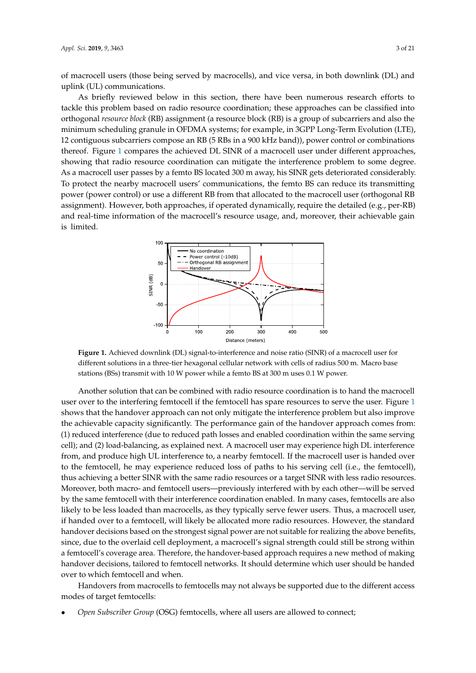of macrocell users (those being served by macrocells), and vice versa, in both downlink (DL) and uplink (UL) communications.

As briefly reviewed below in this section, there have been numerous research efforts to tackle this problem based on radio resource coordination; these approaches can be classified into orthogonal *resource block* (RB) assignment (a resource block (RB) is a group of subcarriers and also the minimum scheduling granule in OFDMA systems; for example, in 3GPP Long-Term Evolution (LTE), 12 contiguous subcarriers compose an RB (5 RBs in a 900 kHz band)), power control or combinations thereof. Figure [1](#page-2-0) compares the achieved DL SINR of a macrocell user under different approaches, showing that radio resource coordination can mitigate the interference problem to some degree. As a macrocell user passes by a femto BS located 300 m away, his SINR gets deteriorated considerably. To protect the nearby macrocell users' communications, the femto BS can reduce its transmitting power (power control) or use a different RB from that allocated to the macrocell user (orthogonal RB assignment). However, both approaches, if operated dynamically, require the detailed (e.g., per-RB) and real-time information of the macrocell's resource usage, and, moreover, their achievable gain is limited.

<span id="page-2-0"></span>

**Figure 1.** Achieved downlink (DL) signal-to-interference and noise ratio (SINR) of a macrocell user for different solutions in a three-tier hexagonal cellular network with cells of radius 500 m. Macro base stations (BSs) transmit with 10 W power while a femto BS at 300 m uses 0.1 W power.

Another solution that can be combined with radio resource coordination is to hand the macrocell user over to the interfering femtocell if the femtocell has spare resources to serve the user. Figure [1](#page-2-0) shows that the handover approach can not only mitigate the interference problem but also improve the achievable capacity significantly. The performance gain of the handover approach comes from: (1) reduced interference (due to reduced path losses and enabled coordination within the same serving cell); and (2) load-balancing, as explained next. A macrocell user may experience high DL interference from, and produce high UL interference to, a nearby femtocell. If the macrocell user is handed over to the femtocell, he may experience reduced loss of paths to his serving cell (i.e., the femtocell), thus achieving a better SINR with the same radio resources or a target SINR with less radio resources. Moreover, both macro- and femtocell users—previously interfered with by each other—will be served by the same femtocell with their interference coordination enabled. In many cases, femtocells are also likely to be less loaded than macrocells, as they typically serve fewer users. Thus, a macrocell user, if handed over to a femtocell, will likely be allocated more radio resources. However, the standard handover decisions based on the strongest signal power are not suitable for realizing the above benefits, since, due to the overlaid cell deployment, a macrocell's signal strength could still be strong within a femtocell's coverage area. Therefore, the handover-based approach requires a new method of making handover decisions, tailored to femtocell networks. It should determine which user should be handed over to which femtocell and when.

Handovers from macrocells to femtocells may not always be supported due to the different access modes of target femtocells:

• *Open Subscriber Group* (OSG) femtocells, where all users are allowed to connect;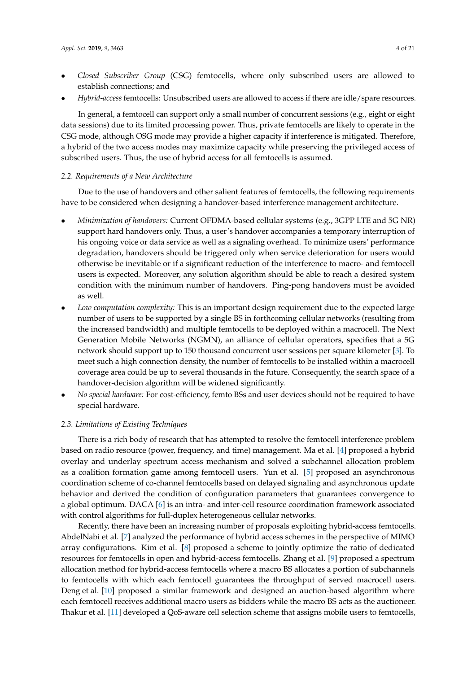- *Closed Subscriber Group* (CSG) femtocells, where only subscribed users are allowed to establish connections; and
- *Hybrid-access* femtocells: Unsubscribed users are allowed to access if there are idle/spare resources.

In general, a femtocell can support only a small number of concurrent sessions (e.g., eight or eight data sessions) due to its limited processing power. Thus, private femtocells are likely to operate in the CSG mode, although OSG mode may provide a higher capacity if interference is mitigated. Therefore, a hybrid of the two access modes may maximize capacity while preserving the privileged access of subscribed users. Thus, the use of hybrid access for all femtocells is assumed.

#### *2.2. Requirements of a New Architecture*

Due to the use of handovers and other salient features of femtocells, the following requirements have to be considered when designing a handover-based interference management architecture.

- *Minimization of handovers:* Current OFDMA-based cellular systems (e.g., 3GPP LTE and 5G NR) support hard handovers only. Thus, a user's handover accompanies a temporary interruption of his ongoing voice or data service as well as a signaling overhead. To minimize users' performance degradation, handovers should be triggered only when service deterioration for users would otherwise be inevitable or if a significant reduction of the interference to macro- and femtocell users is expected. Moreover, any solution algorithm should be able to reach a desired system condition with the minimum number of handovers. Ping-pong handovers must be avoided as well.
- *Low computation complexity:* This is an important design requirement due to the expected large number of users to be supported by a single BS in forthcoming cellular networks (resulting from the increased bandwidth) and multiple femtocells to be deployed within a macrocell. The Next Generation Mobile Networks (NGMN), an alliance of cellular operators, specifies that a 5G network should support up to 150 thousand concurrent user sessions per square kilometer [\[3\]](#page-18-2). To meet such a high connection density, the number of femtocells to be installed within a macrocell coverage area could be up to several thousands in the future. Consequently, the search space of a handover-decision algorithm will be widened significantly.
- *No special hardware:* For cost-efficiency, femto BSs and user devices should not be required to have special hardware.

# *2.3. Limitations of Existing Techniques*

There is a rich body of research that has attempted to resolve the femtocell interference problem based on radio resource (power, frequency, and time) management. Ma et al. [\[4\]](#page-18-3) proposed a hybrid overlay and underlay spectrum access mechanism and solved a subchannel allocation problem as a coalition formation game among femtocell users. Yun et al. [\[5\]](#page-18-4) proposed an asynchronous coordination scheme of co-channel femtocells based on delayed signaling and asynchronous update behavior and derived the condition of configuration parameters that guarantees convergence to a global optimum. DACA [\[6\]](#page-18-5) is an intra- and inter-cell resource coordination framework associated with control algorithms for full-duplex heterogeneous cellular networks.

Recently, there have been an increasing number of proposals exploiting hybrid-access femtocells. AbdelNabi et al. [\[7\]](#page-18-6) analyzed the performance of hybrid access schemes in the perspective of MIMO array configurations. Kim et al. [\[8\]](#page-18-7) proposed a scheme to jointly optimize the ratio of dedicated resources for femtocells in open and hybrid-access femtocells. Zhang et al. [\[9\]](#page-19-0) proposed a spectrum allocation method for hybrid-access femtocells where a macro BS allocates a portion of subchannels to femtocells with which each femtocell guarantees the throughput of served macrocell users. Deng et al. [\[10\]](#page-19-1) proposed a similar framework and designed an auction-based algorithm where each femtocell receives additional macro users as bidders while the macro BS acts as the auctioneer. Thakur et al. [\[11\]](#page-19-2) developed a QoS-aware cell selection scheme that assigns mobile users to femtocells,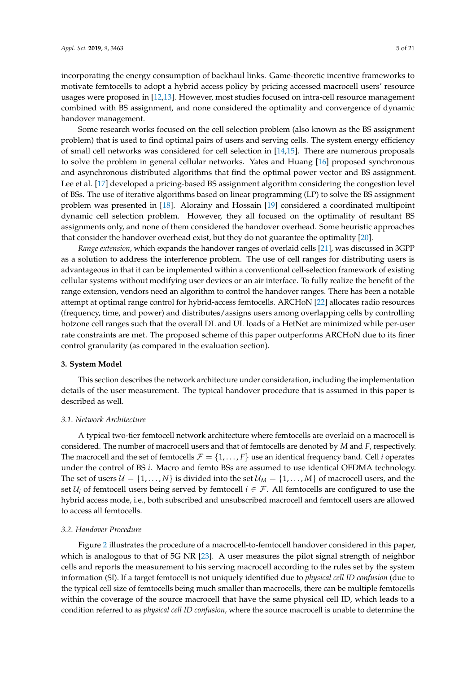incorporating the energy consumption of backhaul links. Game-theoretic incentive frameworks to motivate femtocells to adopt a hybrid access policy by pricing accessed macrocell users' resource usages were proposed in [\[12](#page-19-3)[,13\]](#page-19-4). However, most studies focused on intra-cell resource management combined with BS assignment, and none considered the optimality and convergence of dynamic handover management.

Some research works focused on the cell selection problem (also known as the BS assignment problem) that is used to find optimal pairs of users and serving cells. The system energy efficiency of small cell networks was considered for cell selection in [\[14](#page-19-5)[,15\]](#page-19-6). There are numerous proposals to solve the problem in general cellular networks. Yates and Huang [\[16\]](#page-19-7) proposed synchronous and asynchronous distributed algorithms that find the optimal power vector and BS assignment. Lee et al. [\[17\]](#page-19-8) developed a pricing-based BS assignment algorithm considering the congestion level of BSs. The use of iterative algorithms based on linear programming (LP) to solve the BS assignment problem was presented in [\[18\]](#page-19-9). Alorainy and Hossain [\[19\]](#page-19-10) considered a coordinated multipoint dynamic cell selection problem. However, they all focused on the optimality of resultant BS assignments only, and none of them considered the handover overhead. Some heuristic approaches that consider the handover overhead exist, but they do not guarantee the optimality [\[20\]](#page-19-11).

*Range extension*, which expands the handover ranges of overlaid cells [\[21\]](#page-19-12), was discussed in 3GPP as a solution to address the interference problem. The use of cell ranges for distributing users is advantageous in that it can be implemented within a conventional cell-selection framework of existing cellular systems without modifying user devices or an air interface. To fully realize the benefit of the range extension, vendors need an algorithm to control the handover ranges. There has been a notable attempt at optimal range control for hybrid-access femtocells. ARCHoN [\[22\]](#page-19-13) allocates radio resources (frequency, time, and power) and distributes/assigns users among overlapping cells by controlling hotzone cell ranges such that the overall DL and UL loads of a HetNet are minimized while per-user rate constraints are met. The proposed scheme of this paper outperforms ARCHoN due to its finer control granularity (as compared in the evaluation section).

# <span id="page-4-0"></span>**3. System Model**

This section describes the network architecture under consideration, including the implementation details of the user measurement. The typical handover procedure that is assumed in this paper is described as well.

### *3.1. Network Architecture*

A typical two-tier femtocell network architecture where femtocells are overlaid on a macrocell is considered. The number of macrocell users and that of femtocells are denoted by *M* and *F*, respectively. The macrocell and the set of femtocells  $\mathcal{F} = \{1, \ldots, F\}$  use an identical frequency band. Cell *i* operates under the control of BS *i*. Macro and femto BSs are assumed to use identical OFDMA technology. The set of users  $U = \{1, \ldots, N\}$  is divided into the set  $\mathcal{U}_M = \{1, \ldots, M\}$  of macrocell users, and the set  $U_i$  of femtocell users being served by femtocell  $i \in \mathcal{F}$ . All femtocells are configured to use the hybrid access mode, i.e., both subscribed and unsubscribed macrocell and femtocell users are allowed to access all femtocells.

#### *3.2. Handover Procedure*

Figure [2](#page-5-1) illustrates the procedure of a macrocell-to-femtocell handover considered in this paper, which is analogous to that of 5G NR [\[23\]](#page-19-14). A user measures the pilot signal strength of neighbor cells and reports the measurement to his serving macrocell according to the rules set by the system information (SI). If a target femtocell is not uniquely identified due to *physical cell ID confusion* (due to the typical cell size of femtocells being much smaller than macrocells, there can be multiple femtocells within the coverage of the source macrocell that have the same physical cell ID, which leads to a condition referred to as *physical cell ID confusion*, where the source macrocell is unable to determine the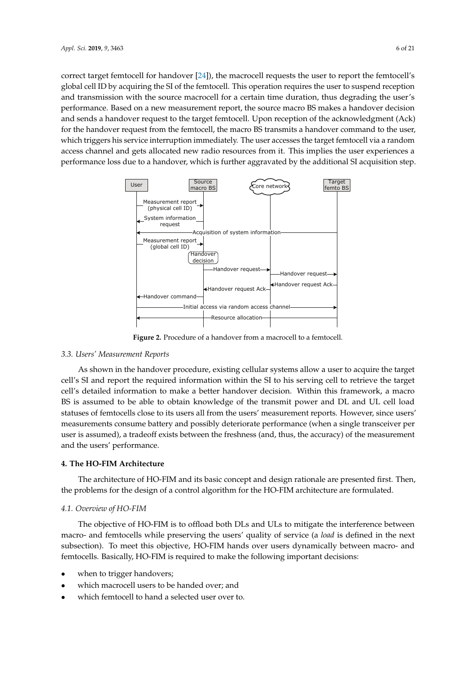correct target femtocell for handover [\[24\]](#page-19-15)), the macrocell requests the user to report the femtocell's global cell ID by acquiring the SI of the femtocell. This operation requires the user to suspend reception and transmission with the source macrocell for a certain time duration, thus degrading the user's performance. Based on a new measurement report, the source macro BS makes a handover decision and sends a handover request to the target femtocell. Upon reception of the acknowledgment (Ack) for the handover request from the femtocell, the macro BS transmits a handover command to the user, which triggers his service interruption immediately. The user accesses the target femtocell via a random access channel and gets allocated new radio resources from it. This implies the user experiences a performance loss due to a handover, which is further aggravated by the additional SI acquisition step.

<span id="page-5-1"></span>

**Figure 2.** Procedure of a handover from a macrocell to a femtocell.

### *3.3. Users' Measurement Reports*

As shown in the handover procedure, existing cellular systems allow a user to acquire the target cell's SI and report the required information within the SI to his serving cell to retrieve the target cell's detailed information to make a better handover decision. Within this framework, a macro BS is assumed to be able to obtain knowledge of the transmit power and DL and UL cell load statuses of femtocells close to its users all from the users' measurement reports. However, since users' measurements consume battery and possibly deteriorate performance (when a single transceiver per user is assumed), a tradeoff exists between the freshness (and, thus, the accuracy) of the measurement and the users' performance.

### <span id="page-5-0"></span>**4. The HO-FIM Architecture**

The architecture of HO-FIM and its basic concept and design rationale are presented first. Then, the problems for the design of a control algorithm for the HO-FIM architecture are formulated.

### *4.1. Overview of HO-FIM*

The objective of HO-FIM is to offload both DLs and ULs to mitigate the interference between macro- and femtocells while preserving the users' quality of service (a *load* is defined in the next subsection). To meet this objective, HO-FIM hands over users dynamically between macro- and femtocells. Basically, HO-FIM is required to make the following important decisions:

- when to trigger handovers;
- which macrocell users to be handed over; and
- which femtocell to hand a selected user over to.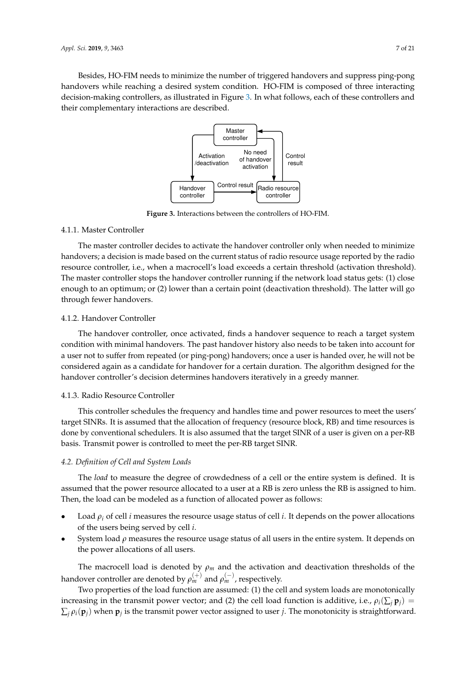<span id="page-6-0"></span>Besides, HO-FIM needs to minimize the number of triggered handovers and suppress ping-pong handovers while reaching a desired system condition. HO-FIM is composed of three interacting decision-making controllers, as illustrated in Figure [3.](#page-6-0) In what follows, each of these controllers and their complementary interactions are described.



**Figure 3.** Interactions between the controllers of HO-FIM.

#### 4.1.1. Master Controller

The master controller decides to activate the handover controller only when needed to minimize handovers; a decision is made based on the current status of radio resource usage reported by the radio resource controller, i.e., when a macrocell's load exceeds a certain threshold (activation threshold). The master controller stops the handover controller running if the network load status gets: (1) close enough to an optimum; or (2) lower than a certain point (deactivation threshold). The latter will go through fewer handovers.

### 4.1.2. Handover Controller

The handover controller, once activated, finds a handover sequence to reach a target system condition with minimal handovers. The past handover history also needs to be taken into account for a user not to suffer from repeated (or ping-pong) handovers; once a user is handed over, he will not be considered again as a candidate for handover for a certain duration. The algorithm designed for the handover controller's decision determines handovers iteratively in a greedy manner.

### 4.1.3. Radio Resource Controller

This controller schedules the frequency and handles time and power resources to meet the users' target SINRs. It is assumed that the allocation of frequency (resource block, RB) and time resources is done by conventional schedulers. It is also assumed that the target SINR of a user is given on a per-RB basis. Transmit power is controlled to meet the per-RB target SINR.

### *4.2. Definition of Cell and System Loads*

The *load* to measure the degree of crowdedness of a cell or the entire system is defined. It is assumed that the power resource allocated to a user at a RB is zero unless the RB is assigned to him. Then, the load can be modeled as a function of allocated power as follows:

- Load  $\rho_i$  of cell *i* measures the resource usage status of cell *i*. It depends on the power allocations of the users being served by cell *i*.
- System load  $\rho$  measures the resource usage status of all users in the entire system. It depends on the power allocations of all users.

The macrocell load is denoted by  $\rho_m$  and the activation and deactivation thresholds of the handover controller are denoted by  $\rho_m^{(+)}$  and  $\rho_m^{(-)}$ , respectively.

Two properties of the load function are assumed: (1) the cell and system loads are monotonically increasing in the transmit power vector; and (2) the cell load function is additive, i.e.,  $\rho_i(\sum_i \mathbf{p}_i)$  =  $\sum_j \rho_i(\mathbf{p}_j)$  when  $\mathbf{p}_j$  is the transmit power vector assigned to user *j*. The monotonicity is straightforward.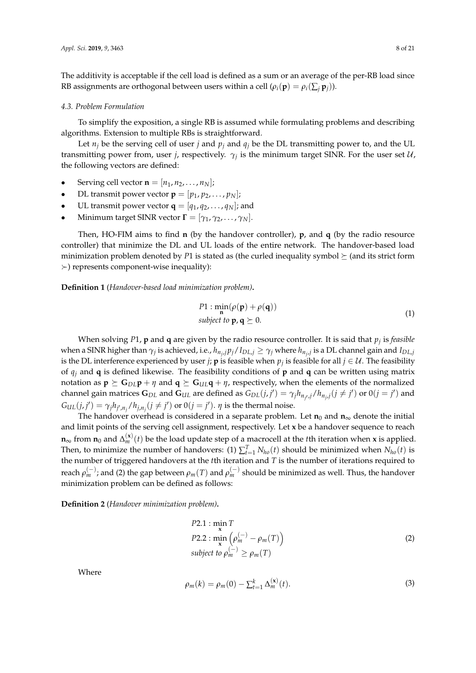The additivity is acceptable if the cell load is defined as a sum or an average of the per-RB load since RB assignments are orthogonal between users within a cell ( $\rho_i(\mathbf{p}) = \rho_i(\sum_i \mathbf{p}_i)$ ).

#### *4.3. Problem Formulation*

To simplify the exposition, a single RB is assumed while formulating problems and describing algorithms. Extension to multiple RBs is straightforward.

Let  $n_i$  be the serving cell of user *j* and  $p_i$  and  $q_i$  be the DL transmitting power to, and the UL transmitting power from, user *j*, respectively.  $\gamma_j$  is the minimum target SINR. For the user set  $\mathcal{U}$ , the following vectors are defined:

- Serving cell vector  $\mathbf{n} = [n_1, n_2, \dots, n_N]$ ;
- DL transmit power vector  $\mathbf{p} = [p_1, p_2, \dots, p_N]$ ;
- UL transmit power vector  $\mathbf{q} = [q_1, q_2, \dots, q_N]$ ; and
- Minimum target SINR vector  $\mathbf{\Gamma} = [\gamma_1, \gamma_2, \dots, \gamma_N].$

Then, HO-FIM aims to find **n** (by the handover controller), **p**, and **q** (by the radio resource controller) that minimize the DL and UL loads of the entire network. The handover-based load minimization problem denoted by *P*1 is stated as (the curled inequality symbol  $\succeq$  (and its strict form  $\succ$ ) represents component-wise inequality):

**Definition 1** (*Handover-based load minimization problem)***.**

$$
P1: \min_{\mathbf{n}} (\rho(\mathbf{p}) + \rho(\mathbf{q}))
$$
  
subject to  $\mathbf{p}, \mathbf{q} \succeq 0$ . (1)

When solving *P*1, **p** and **q** are given by the radio resource controller. It is said that *p<sup>j</sup>* is *feasible* when a SINR higher than  $\gamma_j$  is achieved, i.e.,  $h_{n_j,j}p_j/I_{DL,j}\geq\gamma_j$  where  $h_{n_j,j}$  is a DL channel gain and  $I_{DL,j}$ is the DL interference experienced by user *j*; **p** is feasible when  $p_j$  is feasible for all  $j \in \mathcal{U}$ . The feasibility of *q<sup>j</sup>* and **q** is defined likewise. The feasibility conditions of **p** and **q** can be written using matrix notation as  $\mathbf{p} \succeq \mathbf{G}_{D\mathbf{L}} \mathbf{p} + \eta$  and  $\mathbf{q} \succeq \mathbf{G}_{U\mathbf{L}} \mathbf{q} + \eta$ , respectively, when the elements of the normalized channel gain matrices  $G_{DL}$  and  $G_{UL}$  are defined as  $G_{DL}(j,j') = \gamma_j h_{n_{j'}j}/h_{n_{j'}j}(j \neq j')$  or  $0(j = j')$  and  $G_{\text{UL}}(j, j') = \gamma_j h_{j', n_j}/h_{j, n_j} (j \neq j')$  or  $0(j = j')$ . *η* is the thermal noise.

The handover overhead is considered in a separate problem. Let  $n_0$  and  $n_\infty$  denote the initial and limit points of the serving cell assignment, respectively. Let **x** be a handover sequence to reach **n**<sup>∞</sup> from **n**<sup>0</sup> and ∆ (**x**) *<sup>m</sup>* (*t*) be the load update step of a macrocell at the *t*th iteration when **x** is applied. Then, to minimize the number of handovers: (1)  $\sum_{t=1}^{T} N_{ho}(t)$  should be minimized when  $N_{ho}(t)$  is the number of triggered handovers at the *t*th iteration and *T* is the number of iterations required to reach  $\rho_m^{(-)}$ ; and (2) the gap between  $\rho_m(T)$  and  $\rho_m^{(-)}$  should be minimized as well. Thus, the handover minimization problem can be defined as follows:

**Definition 2** (*Handover minimization problem)***.**

P2.1: 
$$
\min_{\mathbf{x}} T
$$
  
P2.2: 
$$
\min_{\mathbf{x}} \left( \rho_m^{(-)} - \rho_m(T) \right)
$$
  
subject to 
$$
\rho_m^{(-)} \ge \rho_m(T)
$$
 (2)

Where

$$
\rho_m(k) = \rho_m(0) - \sum_{t=1}^k \Delta_m^{(\mathbf{x})}(t). \tag{3}
$$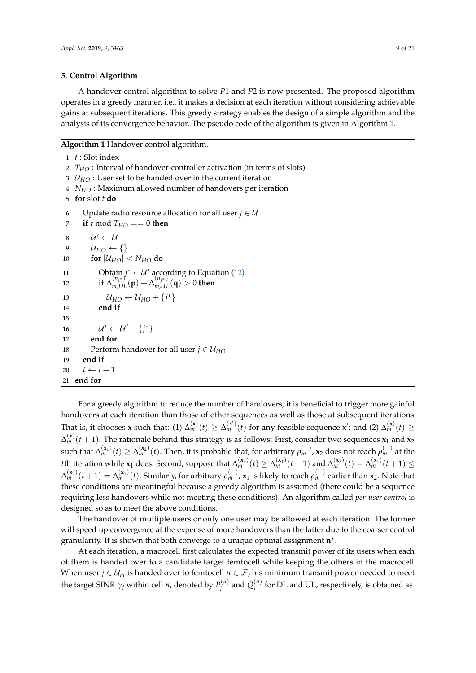### <span id="page-8-0"></span>**5. Control Algorithm**

A handover control algorithm to solve *P*1 and *P*2 is now presented. The proposed algorithm operates in a greedy manner, i.e., it makes a decision at each iteration without considering achievable gains at subsequent iterations. This greedy strategy enables the design of a simple algorithm and the analysis of its convergence behavior. The pseudo code of the algorithm is given in Algorithm [1.](#page-8-1)

<span id="page-8-1"></span>**Algorithm 1** Handover control algorithm.

1: *t* : Slot index

2: *THO* : Interval of handover-controller activation (in terms of slots)

3:  $U_{HO}$  : User set to be handed over in the current iteration

4: *NHO* : Maximum allowed number of handovers per iteration

5: **for** slot *t* **do**

6: Update radio resource allocation for all user  $j \in U$ 

7: **if** *t* mod  $T_{HO} == 0$  then

```
8: \mathcal{U}' \leftarrow \mathcal{U}9: \mathcal{U}_{HO} \leftarrow \{\}10: for |\mathcal{U}_{HO}| < N_{HO} do
11: Obtain j^* \in \mathcal{U}'(12)
12: if \Delta_{m,DL}^{(n_{j*})}(\mathbf{p}) + \Delta_{m,UL}^{(n_{j*})}(\mathbf{q}) > 0 then
13: \mathcal{U}_{HO} \leftarrow \mathcal{U}_{HO} + \{j^*\}14: end if
15:
16: \mathcal{U}' \leftarrow \mathcal{U}' - \{j^*\}17: end for
18: Perform handover for all user j \in U_{HO}19: end if
20: t \leftarrow t + 121: end for
```
For a greedy algorithm to reduce the number of handovers, it is beneficial to trigger more gainful handovers at each iteration than those of other sequences as well as those at subsequent iterations. That is, it chooses **x** such that: (1)  $\Delta_m^{(\mathbf{x})}(t) \geq \Delta_m^{(\mathbf{x}')}(\tilde{t})$  for any feasible sequence **x**'; and (2)  $\Delta_m^{(\mathbf{x})}(t) \geq$  $\Delta_m^{(\mathbf{x})}(t+1)$ . The rationale behind this strategy is as follows: First, consider two sequences  $\mathbf{x}_1$  and  $\mathbf{x}_2$  $\sinh\theta$  at the  $\sinh\theta$  and  $\sinh\theta$  is probable that, for arbitrary  $\rho_m^{(-)}$ ,  $\mathbf{x}_2$  does not reach  $\rho_m^{(-)}$  at the *t*th iteration while  $\mathbf{x}_1$  does. Second, suppose that  $\Delta_m^{(\mathbf{x}_1)}(t) \geq \Delta_m^{(\mathbf{x}_1)}(t+1)$  and  $\Delta_m^{(\mathbf{x}_2)}(t) = \Delta_m^{(\mathbf{x}_1)}(t+1) \leq$  $\Delta_m^{(\mathbf{x}_2)}(t+1)=\Delta_m^{(\mathbf{x}_1)}(t).$  Similarly, for arbitrary  $\rho_m^{(-)}$ ,  $\mathbf{x}_1$  is likely to reach  $\rho_m^{(-)}$  earlier than  $\mathbf{x}_2.$  Note that these conditions are meaningful because a greedy algorithm is assumed (there could be a sequence requiring less handovers while not meeting these conditions). An algorithm called *per-user control* is designed so as to meet the above conditions.

The handover of multiple users or only one user may be allowed at each iteration. The former will speed up convergence at the expense of more handovers than the latter due to the coarser control granularity. It is shown that both converge to a unique optimal assignment **n** ∗ .

At each iteration, a macrocell first calculates the expected transmit power of its users when each of them is handed over to a candidate target femtocell while keeping the others in the macrocell. When user  $j \in \mathcal{U}_m$  is handed over to femtocell  $n \in \mathcal{F}$ , his minimum transmit power needed to meet the target SINR  $\gamma_j$  within cell *n*, denoted by  $P_j^{(n)}$  $Q_j^{(n)}$  and  $Q_j^{(n)}$  $j^{(n)}$  for DL and UL, respectively, is obtained as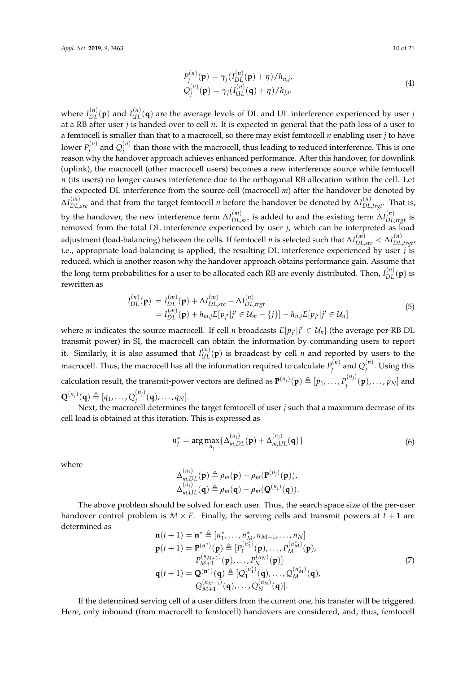<span id="page-9-1"></span>
$$
P_j^{(n)}(\mathbf{p}) = \gamma_j (I_{DL}^{(n)}(\mathbf{p}) + \eta) / h_{n,j},
$$
  
\n
$$
Q_j^{(n)}(\mathbf{p}) = \gamma_j (I_{UL}^{(n)}(\mathbf{q}) + \eta) / h_{j,n}
$$
\n(4)

where  $I_{DL}^{(n)}(\mathbf{p})$  and  $I_{UL}^{(n)}(\mathbf{q})$  are the average levels of DL and UL interference experienced by user *j* at a RB after user *j* is handed over to cell *n*. It is expected in general that the path loss of a user to a femtocell is smaller than that to a macrocell, so there may exist femtocell *n* enabling user *j* to have lower  $P_i^{(n)}$  $Q_j^{(n)}$  and  $Q_j^{(n)}$ *j* than those with the macrocell, thus leading to reduced interference. This is one reason why the handover approach achieves enhanced performance. After this handover, for downlink (uplink), the macrocell (other macrocell users) becomes a new interference source while femtocell *n* (its users) no longer causes interference due to the orthogonal RB allocation within the cell. Let the expected DL interference from the source cell (macrocell *m*) after the handover be denoted by ∆*I* (*m*) *DL*,*src* and that from the target femtocell *n* before the handover be denoted by ∆*I* (*n*) *DL*,*trgt*. That is, by the handover, the new interference term  $\Delta I_{DL,src}^{(m)}$  is added to and the existing term  $\Delta I_{DL,trgt}^{(n)}$  is removed from the total DL interference experienced by user *j*, which can be interpreted as load adjustment (load-balancing) between the cells. If femtocell *n* is selected such that  $\Delta I^{(m)}_{DL,src} < \Delta I^{(n)}_{DL,trgt}$ i.e., appropriate load-balancing is applied, the resulting DL interference experienced by user *j* is reduced, which is another reason why the handover approach obtains performance gain. Assume that the long-term probabilities for a user to be allocated each RB are evenly distributed. Then,  $I_{DL}^{(n)}(\bf{p})$  is rewritten as

$$
I_{DL}^{(n)}(\mathbf{p}) = I_{DL}^{(m)}(\mathbf{p}) + \Delta I_{DL,src}^{(m)} - \Delta I_{DL,trgt}^{(n)}
$$
  
=  $I_{DL}^{(m)}(\mathbf{p}) + h_{m,j}E[p_{j'}|j' \in \mathcal{U}_m - \{j\}] - h_{n,j}E[p_{j'}|j' \in \mathcal{U}_n]$  (5)

where *m* indicates the source macrocell. If cell *n* broadcasts  $E[p_{j'}|j' \in \mathcal{U}_n]$  (the average per-RB DL transmit power) in SI, the macrocell can obtain the information by commanding users to report it. Similarly, it is also assumed that  $I_{UL}^{(n)}(\mathbf{p})$  is broadcast by cell *n* and reported by users to the macrocell. Thus, the macrocell has all the information required to calculate  $P_i^{(n)}$  $Q_j^{(n)}$  and  $Q_j^{(n)}$ *j* . Using this calculation result, the transmit-power vectors are defined as  $\mathbf{P}^{(n_j)}(\mathbf{p}) \triangleq [p_1,\ldots,p_j^{(n_j)}]$  $p_j^{(n_j)}(\mathbf{p}), \ldots, p_N]$  and  $\mathbf{Q}^{(n_j)}(\mathbf{q}) \triangleq [q_1, \dots, Q_j^{(n_j)}]$  $j^{(n_j)}(\mathbf{q})$ , ...,  $q_N$ ].

Next, the macrocell determines the target femtocell of user *j* such that a maximum decrease of its cell load is obtained at this iteration. This is expressed as

<span id="page-9-0"></span>
$$
n_j^* = \arg \max_{n_j} \{ \Delta_{m,DL}^{(n_j)}(\mathbf{p}) + \Delta_{m,UL}^{(n_j)}(\mathbf{q}) \}
$$
(6)

where

$$
\Delta_{m,DL}^{(n_j)}(\mathbf{p}) \triangleq \rho_m(\mathbf{p}) - \rho_m(\mathbf{P}^{(n_j)}(\mathbf{p})),
$$
  

$$
\Delta_{m,UL}^{(n_j)}(\mathbf{q}) \triangleq \rho_m(\mathbf{q}) - \rho_m(\mathbf{Q}^{(n_j)}(\mathbf{q})).
$$

The above problem should be solved for each user. Thus, the search space size of the per-user handover control problem is  $M \times F$ . Finally, the serving cells and transmit powers at  $t + 1$  are determined as

$$
\mathbf{n}(t+1) = \mathbf{n}^* \triangleq [n_1^*, \dots, n_M^*, n_{M+1}, \dots, n_N] \n\mathbf{p}(t+1) = \mathbf{P}^{(\mathbf{n}^*)}(\mathbf{p}) \triangleq [P_1^{(n_1^*)}(\mathbf{p}), \dots, P_M^{(n_M^*)}(\mathbf{p}), \n\mathbf{p}_{M+1}^{(n_{M+1})}(\mathbf{p}), \dots, P_N^{(n_N)}(\mathbf{p})] \n\mathbf{q}(t+1) = \mathbf{Q}^{(\mathbf{n}^*)}(\mathbf{q}) \triangleq [Q_1^{(n_1^*)}(\mathbf{q}), \dots, Q_M^{(n_M^*)}(\mathbf{q}), \nQ_{M+1}^{(n_{M+1})}(\mathbf{q}), \dots, Q_N^{(n_N)}(\mathbf{q})].
$$
\n(7)

If the determined serving cell of a user differs from the current one, his transfer will be triggered. Here, only inbound (from macrocell to femtocell) handovers are considered, and, thus, femtocell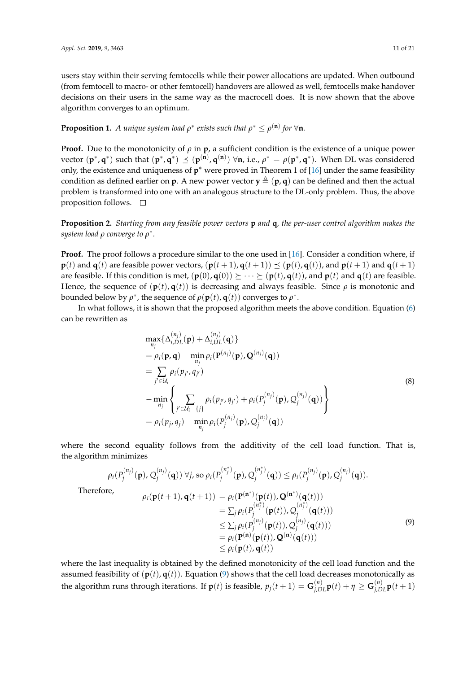users stay within their serving femtocells while their power allocations are updated. When outbound (from femtocell to macro- or other femtocell) handovers are allowed as well, femtocells make handover decisions on their users in the same way as the macrocell does. It is now shown that the above algorithm converges to an optimum.

# **Proposition 1.** A unique system load  $\rho^*$  exists such that  $\rho^* \leq \rho^{(\mathbf{n})}$  for  $\forall$ **n**.

**Proof.** Due to the monotonicity of  $\rho$  in  $\mathbf{p}$ , a sufficient condition is the existence of a unique power  $\text{vector } (\mathbf{p}^*, \mathbf{q}^*) \text{ such that } (\mathbf{p}^*, \mathbf{q}^*) \preceq (\mathbf{p}^{(\mathbf{n})}, \mathbf{q}^{(\mathbf{n})}) \; \forall \mathbf{n}, \text{ i.e., } \rho^* = \rho(\mathbf{p}^*, \mathbf{q}^*) \text{. When DL was considered}$ only, the existence and uniqueness of **p** <sup>∗</sup> were proved in Theorem 1 of [\[16\]](#page-19-7) under the same feasibility condition as defined earlier on **p**. A new power vector  $y \triangleq (p, q)$  can be defined and then the actual problem is transformed into one with an analogous structure to the DL-only problem. Thus, the above proposition follows.  $\square$ 

# **Proposition 2.** *Starting from any feasible power vectors* **p** *and* **q***, the per-user control algorithm makes the system load ρ converge to ρ* ∗ *.*

**Proof.** The proof follows a procedure similar to the one used in [\[16\]](#page-19-7). Consider a condition where, if **p**(*t*) and **q**(*t*) are feasible power vectors,  $(\mathbf{p}(t+1), \mathbf{q}(t+1)) \preceq (\mathbf{p}(t), \mathbf{q}(t))$ , and  $\mathbf{p}(t+1)$  and  $\mathbf{q}(t+1)$ are feasible. If this condition is met,  $(\mathbf{p}(0), \mathbf{q}(0)) \succeq \cdots \succeq (\mathbf{p}(t), \mathbf{q}(t))$ , and  $\mathbf{p}(t)$  and  $\mathbf{q}(t)$  are feasible. Hence, the sequence of  $(\mathbf{p}(t), \mathbf{q}(t))$  is decreasing and always feasible. Since  $\rho$  is monotonic and bounded below by  $\rho^*$ , the sequence of  $\rho(\mathbf{p}(t), \mathbf{q}(t))$  converges to  $\rho^*$ .

In what follows, it is shown that the proposed algorithm meets the above condition. Equation [\(6\)](#page-9-0) can be rewritten as

$$
\max_{n_j} {\{\Delta_{i,DL}^{(n_j)}(\mathbf{p}) + \Delta_{i,UL}^{(n_j)}(\mathbf{q})\}}
$$
  
\n
$$
= \rho_i(\mathbf{p}, \mathbf{q}) - \min_{n_j} \rho_i(\mathbf{P}^{(n_j)}(\mathbf{p}), \mathbf{Q}^{(n_j)}(\mathbf{q}))
$$
  
\n
$$
= \sum_{j' \in \mathcal{U}_i} \rho_i(p_{j'}, q_{j'})
$$
  
\n
$$
- \min_{n_j} \left\{ \sum_{j' \in \mathcal{U}_i - \{j\}} \rho_i(p_{j'}, q_{j'}) + \rho_i(P_j^{(n_j)}(\mathbf{p}), Q_j^{(n_j)}(\mathbf{q})) \right\}
$$
  
\n
$$
= \rho_i(p_j, q_j) - \min_{n_j} \rho_i(P_j^{(n_j)}(\mathbf{p}), Q_j^{(n_j)}(\mathbf{q}))
$$
\n(8)

where the second equality follows from the additivity of the cell load function. That is, the algorithm minimizes

<span id="page-10-0"></span>
$$
\rho_i(P_j^{(n_j)}(\mathbf{p}), Q_j^{(n_j)}(\mathbf{q})) \forall j, \text{ so } \rho_i(P_j^{(n_j^*)}(\mathbf{p}), Q_j^{(n_j^*)}(\mathbf{q})) \leq \rho_i(P_j^{(n_j)}(\mathbf{p}), Q_j^{(n_j)}(\mathbf{q})).
$$
\nTherefore,  
\n
$$
\rho_i(\mathbf{p}(t+1), \mathbf{q}(t+1)) = \rho_i(\mathbf{P}^{(\mathbf{n}^*)}(\mathbf{p}(t)), \mathbf{Q}^{(\mathbf{n}^*)}(\mathbf{q}(t)))
$$
\n
$$
= \sum_j \rho_i(P_j^{(n_j^*)}(\mathbf{p}(t)), Q_j^{(n_j^*)}(\mathbf{q}(t)))
$$
\n
$$
\leq \sum_j \rho_i(P_j^{(n_j)}(\mathbf{p}(t)), Q_j^{(n_j)}(\mathbf{q}(t)))
$$
\n
$$
= \rho_i(\mathbf{P}^{(\mathbf{n})}(\mathbf{p}(t)), \mathbf{Q}^{(\mathbf{n})}(\mathbf{q}(t)))
$$
\n
$$
\leq \rho_i(\mathbf{p}(t), \mathbf{q}(t))
$$
\n(9)

where the last inequality is obtained by the defined monotonicity of the cell load function and the assumed feasibility of  $(\mathbf{p}(t), \mathbf{q}(t))$ . Equation [\(9\)](#page-10-0) shows that the cell load decreases monotonically as the algorithm runs through iterations. If  $p(t)$  is feasible,  $p_j(t+1) = G_{j,DL}^{(n)}p(t) + \eta \ge G_{j,DL}^{(n)}p(t+1)$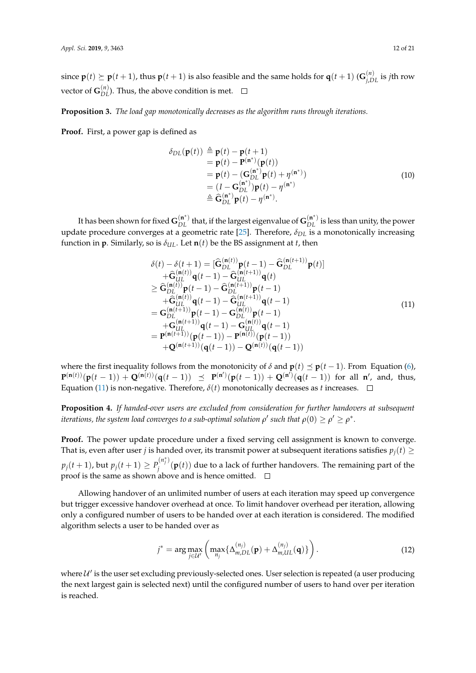$\mathbf{p}(t) \succeq \mathbf{p}(t+1)$ , thus  $\mathbf{p}(t+1)$  is also feasible and the same holds for  $\mathbf{q}(t+1)$  ( $\mathbf{G}_{j,DL}^{(n)}$  is *j*th row vector of  $G_{DL}^{(n)}$ ). Thus, the above condition is met.

**Proposition 3.** *The load gap monotonically decreases as the algorithm runs through iterations.*

**Proof.** First, a power gap is defined as

$$
\delta_{DL}(\mathbf{p}(t)) \triangleq \mathbf{p}(t) - \mathbf{p}(t+1) \n= \mathbf{p}(t) - \mathbf{P}^{(\mathbf{n}^*)}(\mathbf{p}(t)) \n= \mathbf{p}(t) - (\mathbf{G}_{DL}^{(\mathbf{n}^*)}\mathbf{p}(t) + \eta^{(\mathbf{n}^*)}) \n= (I - \mathbf{G}_{DL}^{(\mathbf{n}^*)}(\mathbf{p}(t) - \eta^{(\mathbf{n}^*)}) \n\triangleq \hat{\mathbf{G}}_{DL}^{(\mathbf{n}^*)}\mathbf{p}(t) - \eta^{(\mathbf{n}^*)}.
$$
\n(10)

It has been shown for fixed  $G_{DL}^{(\bm{n}^*)}$  that, if the largest eigenvalue of  $G_{DL}^{(\bm{n}^*)}$  is less than unity, the power update procedure converges at a geometric rate [\[25\]](#page-19-16). Therefore, *δDL* is a monotonically increasing function in **p**. Similarly, so is  $\delta_{UL}$ . Let **n**(*t*) be the BS assignment at *t*, then

<span id="page-11-1"></span>
$$
\delta(t) - \delta(t+1) = [\hat{G}_{DL}^{(n(t))}p(t-1) - \hat{G}_{DL}^{(n(t+1))}p(t)] \n+ \hat{G}_{UL}^{(n(t))}q(t-1) - \hat{G}_{UL}^{(n(t+1))}q(t) \n\geq \hat{G}_{DL}^{(n(t))}p(t-1) - \hat{G}_{DL}^{(n(t+1))}p(t-1) \n+ \hat{G}_{UL}^{(n(t))}q(t-1) - \hat{G}_{UL}^{(n(t+1))}q(t-1) \n= G_{DL}^{(n(t+1))}p(t-1) - G_{DL}^{(n(t))}p(t-1) \n+ G_{UL}^{(n(t+1))}q(t-1) - G_{UL}^{(n(t))}q(t-1) \n= P^{(n(t+1))}(p(t-1)) - P^{(n(t))}(p(t-1)) \n+ Q^{(n(t+1))}(q(t-1)) - Q^{(n(t))}(q(t-1))
$$
\n(11)

where the first inequality follows from the monotonicity of  $\delta$  and  $p(t) \preceq p(t-1)$ . From Equation [\(6\)](#page-9-0),  $P^{(n(t))}(p(t-1)) + Q^{(n(t))}(q(t-1)) \preceq P^{(n')}(p(t-1)) + Q^{(n')}(q(t-1))$  for all n', and, thus, Equation [\(11\)](#page-11-1) is non-negative. Therefore,  $\delta(t)$  monotonically decreases as *t* increases.  $\Box$ 

**Proposition 4.** *If handed-over users are excluded from consideration for further handovers at subsequent*  $i$  *terations, the system load converges to a sub-optimal solution*  $\rho'$  *such that*  $\rho(0) \geq \rho' \geq \rho^*.$ 

**Proof.** The power update procedure under a fixed serving cell assignment is known to converge. That is, even after user *j* is handed over, its transmit power at subsequent iterations satisfies  $p_j(t) \geq$  $p_j(t+1)$ , but  $p_j(t+1) \geq P_j^{(n_j^*)}$  $f_j^{(r,f)}(\mathbf{p}(t))$  due to a lack of further handovers. The remaining part of the proof is the same as shown above and is hence omitted.

Allowing handover of an unlimited number of users at each iteration may speed up convergence but trigger excessive handover overhead at once. To limit handover overhead per iteration, allowing only a configured number of users to be handed over at each iteration is considered. The modified algorithm selects a user to be handed over as

<span id="page-11-0"></span>
$$
j^* = \arg \max_{j \in \mathcal{U}'} \left( \max_{n_j} \{ \Delta_{m,DL}^{(n_j)}(\mathbf{p}) + \Delta_{m,UL}^{(n_j)}(\mathbf{q}) \} \right). \tag{12}
$$

where  $\mathcal{U}'$  is the user set excluding previously-selected ones. User selection is repeated (a user producing the next largest gain is selected next) until the configured number of users to hand over per iteration is reached.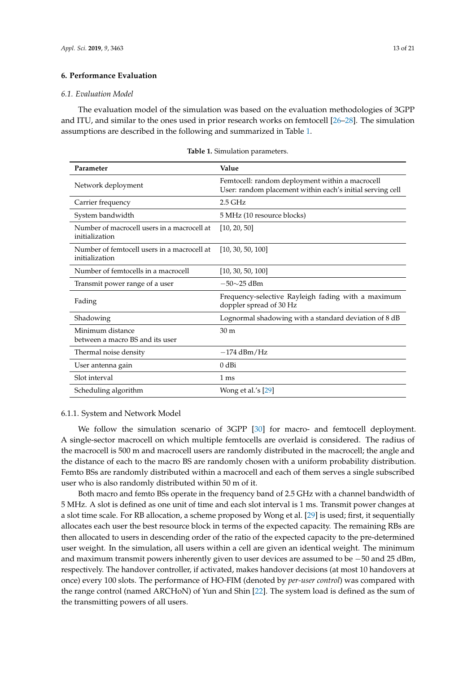#### <span id="page-12-0"></span>**6. Performance Evaluation**

#### *6.1. Evaluation Model*

The evaluation model of the simulation was based on the evaluation methodologies of 3GPP and ITU, and similar to the ones used in prior research works on femtocell [\[26–](#page-19-17)[28\]](#page-19-18). The simulation assumptions are described in the following and summarized in Table [1.](#page-12-1)

<span id="page-12-1"></span>

| Parameter                                                     | Value                                                                                                        |
|---------------------------------------------------------------|--------------------------------------------------------------------------------------------------------------|
| Network deployment                                            | Femtocell: random deployment within a macrocell<br>User: random placement within each's initial serving cell |
| Carrier frequency                                             | $2.5$ GHz                                                                                                    |
| System bandwidth                                              | 5 MHz (10 resource blocks)                                                                                   |
| Number of macrocell users in a macrocell at<br>initialization | [10, 20, 50]                                                                                                 |
| Number of femtocell users in a macrocell at<br>initialization | [10, 30, 50, 100]                                                                                            |
| Number of femtocells in a macrocell                           | [10, 30, 50, 100]                                                                                            |
| Transmit power range of a user                                | $-50\sim25$ dBm                                                                                              |
| Fading                                                        | Frequency-selective Rayleigh fading with a maximum<br>doppler spread of 30 Hz                                |
| Shadowing                                                     | Lognormal shadowing with a standard deviation of 8 dB                                                        |
| Minimum distance<br>between a macro BS and its user           | 30 <sub>m</sub>                                                                                              |
| Thermal noise density                                         | $-174$ dBm/Hz                                                                                                |
| User antenna gain                                             | $0$ dBi                                                                                                      |
| Slot interval                                                 | 1 ms                                                                                                         |
| Scheduling algorithm                                          | Wong et al.'s [29]                                                                                           |

**Table 1.** Simulation parameters.

#### 6.1.1. System and Network Model

We follow the simulation scenario of 3GPP [\[30\]](#page-19-20) for macro- and femtocell deployment. A single-sector macrocell on which multiple femtocells are overlaid is considered. The radius of the macrocell is 500 m and macrocell users are randomly distributed in the macrocell; the angle and the distance of each to the macro BS are randomly chosen with a uniform probability distribution. Femto BSs are randomly distributed within a macrocell and each of them serves a single subscribed user who is also randomly distributed within 50 m of it.

Both macro and femto BSs operate in the frequency band of 2.5 GHz with a channel bandwidth of 5 MHz. A slot is defined as one unit of time and each slot interval is 1 ms. Transmit power changes at a slot time scale. For RB allocation, a scheme proposed by Wong et al. [\[29\]](#page-19-19) is used; first, it sequentially allocates each user the best resource block in terms of the expected capacity. The remaining RBs are then allocated to users in descending order of the ratio of the expected capacity to the pre-determined user weight. In the simulation, all users within a cell are given an identical weight. The minimum and maximum transmit powers inherently given to user devices are assumed to be −50 and 25 dBm, respectively. The handover controller, if activated, makes handover decisions (at most 10 handovers at once) every 100 slots. The performance of HO-FIM (denoted by *per-user control*) was compared with the range control (named ARCHoN) of Yun and Shin [\[22\]](#page-19-13). The system load is defined as the sum of the transmitting powers of all users.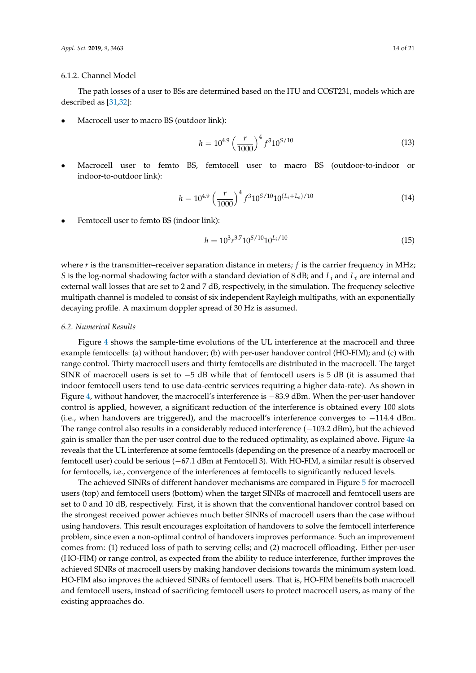#### 6.1.2. Channel Model

The path losses of a user to BSs are determined based on the ITU and COST231, models which are described as [\[31,](#page-20-0)[32\]](#page-20-1):

• Macrocell user to macro BS (outdoor link):

$$
h = 10^{4.9} \left(\frac{r}{1000}\right)^4 f^3 10^{5/10}
$$
 (13)

• Macrocell user to femto BS, femtocell user to macro BS (outdoor-to-indoor or indoor-to-outdoor link):

$$
h = 10^{4.9} \left(\frac{r}{1000}\right)^4 f^3 10^{5/10} 10^{(L_i + L_e)/10}
$$
 (14)

• Femtocell user to femto BS (indoor link):

$$
h = 10^3 r^{3.7} 10^{5/10} 10^{L_i/10}
$$
\n<sup>(15)</sup>

where  $r$  is the transmitter–receiver separation distance in meters;  $f$  is the carrier frequency in MHz; *S* is the log-normal shadowing factor with a standard deviation of 8 dB; and *L<sup>i</sup>* and *L<sup>e</sup>* are internal and external wall losses that are set to 2 and 7 dB, respectively, in the simulation. The frequency selective multipath channel is modeled to consist of six independent Rayleigh multipaths, with an exponentially decaying profile. A maximum doppler spread of 30 Hz is assumed.

#### *6.2. Numerical Results*

Figure [4](#page-14-0) shows the sample-time evolutions of the UL interference at the macrocell and three example femtocells: (a) without handover; (b) with per-user handover control (HO-FIM); and (c) with range control. Thirty macrocell users and thirty femtocells are distributed in the macrocell. The target SINR of macrocell users is set to  $-5$  dB while that of femtocell users is 5 dB (it is assumed that indoor femtocell users tend to use data-centric services requiring a higher data-rate). As shown in Figure [4,](#page-14-0) without handover, the macrocell's interference is −83.9 dBm. When the per-user handover control is applied, however, a significant reduction of the interference is obtained every 100 slots (i.e., when handovers are triggered), and the macrocell's interference converges to −114.4 dBm. The range control also results in a considerably reduced interference (−103.2 dBm), but the achieved gain is smaller than the per-user control due to the reduced optimality, as explained above. Figure [4a](#page-14-0) reveals that the UL interference at some femtocells (depending on the presence of a nearby macrocell or femtocell user) could be serious (−67.1 dBm at Femtocell 3). With HO-FIM, a similar result is observed for femtocells, i.e., convergence of the interferences at femtocells to significantly reduced levels.

The achieved SINRs of different handover mechanisms are compared in Figure [5](#page-14-1) for macrocell users (top) and femtocell users (bottom) when the target SINRs of macrocell and femtocell users are set to 0 and 10 dB, respectively. First, it is shown that the conventional handover control based on the strongest received power achieves much better SINRs of macrocell users than the case without using handovers. This result encourages exploitation of handovers to solve the femtocell interference problem, since even a non-optimal control of handovers improves performance. Such an improvement comes from: (1) reduced loss of path to serving cells; and (2) macrocell offloading. Either per-user (HO-FIM) or range control, as expected from the ability to reduce interference, further improves the achieved SINRs of macrocell users by making handover decisions towards the minimum system load. HO-FIM also improves the achieved SINRs of femtocell users. That is, HO-FIM benefits both macrocell and femtocell users, instead of sacrificing femtocell users to protect macrocell users, as many of the existing approaches do.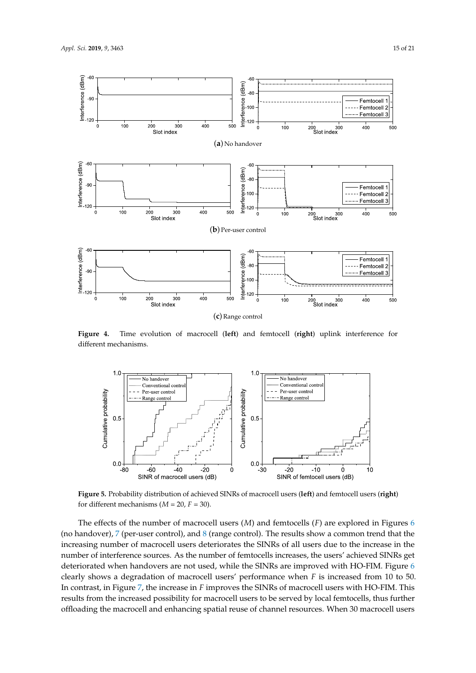<span id="page-14-0"></span>

**Figure 4.** Time evolution of macrocell (**left**) and femtocell (**right**) uplink interference for different mechanisms.

<span id="page-14-1"></span>

**Figure 5.** Probability distribution of achieved SINRs of macrocell users (**left**) and femtocell users (**right**) for different mechanisms ( $M = 20$ ,  $F = 30$ ).

The effects of the number of macrocell users (*M*) and femtocells (*F*) are explored in Figures [6](#page-15-0) (no handover), [7](#page-15-1) (per-user control), and [8](#page-15-2) (range control). The results show a common trend that the increasing number of macrocell users deteriorates the SINRs of all users due to the increase in the number of interference sources. As the number of femtocells increases, the users' achieved SINRs get deteriorated when handovers are not used, while the SINRs are improved with HO-FIM. Figure [6](#page-15-0) clearly shows a degradation of macrocell users' performance when *F* is increased from 10 to 50. In contrast, in Figure [7,](#page-15-1) the increase in *F* improves the SINRs of macrocell users with HO-FIM. This results from the increased possibility for macrocell users to be served by local femtocells, thus further offloading the macrocell and enhancing spatial reuse of channel resources. When 30 macrocell users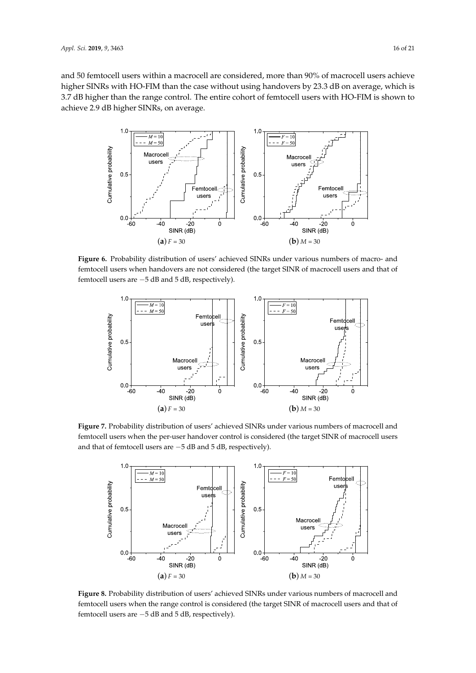and 50 femtocell users within a macrocell are considered, more than 90% of macrocell users achieve higher SINRs with HO-FIM than the case without using handovers by 23.3 dB on average, which is 3.7 dB higher than the range control. The entire cohort of femtocell users with HO-FIM is shown to achieve 2.9 dB higher SINRs, on average.

<span id="page-15-0"></span>

**Figure 6.** Probability distribution of users' achieved SINRs under various numbers of macro- and femtocell users when handovers are not considered (the target SINR of macrocell users and that of femtocell users are −5 dB and 5 dB, respectively).

<span id="page-15-1"></span>

<span id="page-15-2"></span>**Figure 7.** Probability distribution of users' achieved SINRs under various numbers of macrocell and femtocell users when the per-user handover control is considered (the target SINR of macrocell users and that of femtocell users are −5 dB and 5 dB, respectively).



**Figure 8.** Probability distribution of users' achieved SINRs under various numbers of macrocell and femtocell users when the range control is considered (the target SINR of macrocell users and that of femtocell users are −5 dB and 5 dB, respectively).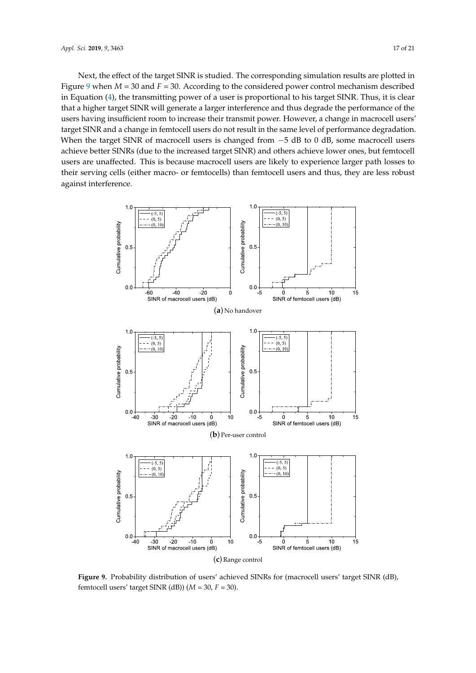Next, the effect of the target SINR is studied. The corresponding simulation results are plotted in Figure [9](#page-16-0) when  $M = 30$  and  $F = 30$ . According to the considered power control mechanism described in Equation [\(4\)](#page-9-1), the transmitting power of a user is proportional to his target SINR. Thus, it is clear that a higher target SINR will generate a larger interference and thus degrade the performance of the users having insufficient room to increase their transmit power. However, a change in macrocell users' target SINR and a change in femtocell users do not result in the same level of performance degradation. When the target SINR of macrocell users is changed from  $-5$  dB to 0 dB, some macrocell users achieve better SINRs (due to the increased target SINR) and others achieve lower ones, but femtocell users are unaffected. This is because macrocell users are likely to experience larger path losses to their serving cells (either macro- or femtocells) than femtocell users and thus, they are less robust against interference.

<span id="page-16-0"></span>

**Figure 9.** Probability distribution of users' achieved SINRs for (macrocell users' target SINR (dB), femtocell users' target SINR (dB))  $(M = 30, F = 30)$ .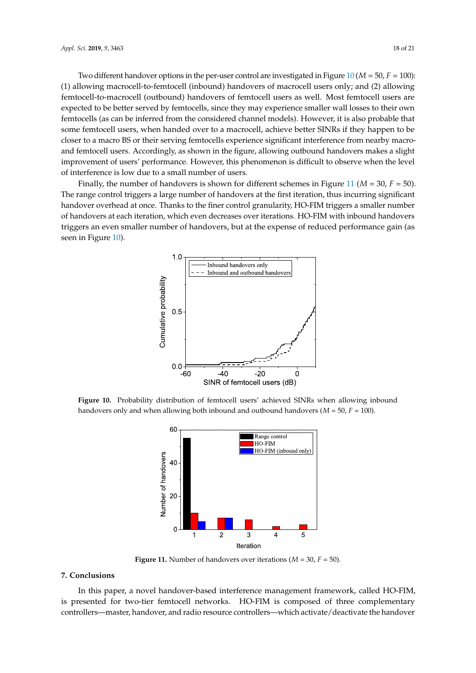Two different handover options in the per-user control are investigated in Figure [10](#page-17-1) ( $M = 50$ ,  $F = 100$ ): (1) allowing macrocell-to-femtocell (inbound) handovers of macrocell users only; and (2) allowing femtocell-to-macrocell (outbound) handovers of femtocell users as well. Most femtocell users are expected to be better served by femtocells, since they may experience smaller wall losses to their own femtocells (as can be inferred from the considered channel models). However, it is also probable that some femtocell users, when handed over to a macrocell, achieve better SINRs if they happen to be closer to a macro BS or their serving femtocells experience significant interference from nearby macroand femtocell users. Accordingly, as shown in the figure, allowing outbound handovers makes a slight improvement of users' performance. However, this phenomenon is difficult to observe when the level of interference is low due to a small number of users.

<span id="page-17-1"></span>Finally, the number of handovers is shown for different schemes in Figure [11](#page-17-2) (*M* = 30, *F* = 50). The range control triggers a large number of handovers at the first iteration, thus incurring significant handover overhead at once. Thanks to the finer control granularity, HO-FIM triggers a smaller number of handovers at each iteration, which even decreases over iterations. HO-FIM with inbound handovers triggers an even smaller number of handovers, but at the expense of reduced performance gain (as seen in Figure [10\)](#page-17-1).



<span id="page-17-2"></span>**Figure 10.** Probability distribution of femtocell users' achieved SINRs when allowing inbound handovers only and when allowing both inbound and outbound handovers (*M* = 50, *F* = 100).



**Figure 11.** Number of handovers over iterations ( $M = 30$ ,  $F = 50$ ).

# <span id="page-17-0"></span>**7. Conclusions**

In this paper, a novel handover-based interference management framework, called HO-FIM, is presented for two-tier femtocell networks. HO-FIM is composed of three complementary controllers—master, handover, and radio resource controllers—which activate/deactivate the handover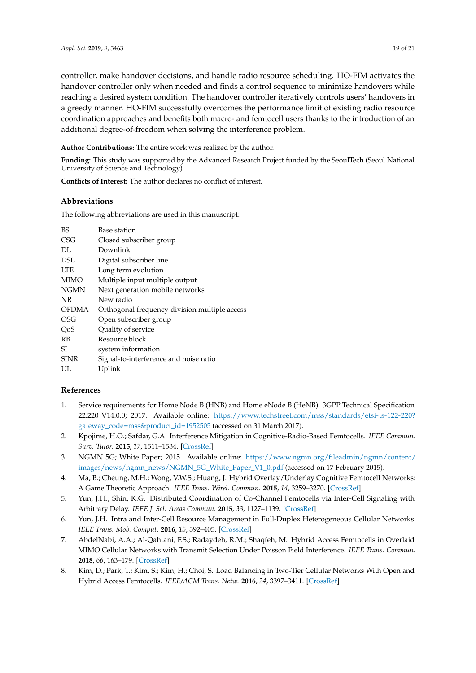controller, make handover decisions, and handle radio resource scheduling. HO-FIM activates the handover controller only when needed and finds a control sequence to minimize handovers while reaching a desired system condition. The handover controller iteratively controls users' handovers in a greedy manner. HO-FIM successfully overcomes the performance limit of existing radio resource coordination approaches and benefits both macro- and femtocell users thanks to the introduction of an additional degree-of-freedom when solving the interference problem.

**Author Contributions:** The entire work was realized by the author.

**Funding:** This study was supported by the Advanced Research Project funded by the SeoulTech (Seoul National University of Science and Technology).

**Conflicts of Interest:** The author declares no conflict of interest.

### **Abbreviations**

The following abbreviations are used in this manuscript:

| <b>BS</b>    | Base station                                  |
|--------------|-----------------------------------------------|
| CSG          | Closed subscriber group                       |
| DL.          | Downlink                                      |
| DSL          | Digital subscriber line                       |
| LTE          | Long term evolution                           |
| MIMO         | Multiple input multiple output                |
| <b>NGMN</b>  | Next generation mobile networks               |
| NR           | New radio                                     |
| <b>OFDMA</b> | Orthogonal frequency-division multiple access |
| OSG          | Open subscriber group                         |
| QoS          | Quality of service                            |
| RB           | Resource block                                |
| SI           | system information                            |
| <b>SINR</b>  | Signal-to-interference and noise ratio        |
| UL           | Uplink                                        |

## **References**

- <span id="page-18-0"></span>1. Service requirements for Home Node B (HNB) and Home eNode B (HeNB). 3GPP Technical Specification 22.220 V14.0.0; 2017. Available online: [https://www.techstreet.com/mss/standards/etsi-ts-122-220?](https://www.techstreet.com/mss/standards/etsi-ts-122-220?gateway_code=mss&product_id=1952505) [gateway\\_code=mss&product\\_id=1952505](https://www.techstreet.com/mss/standards/etsi-ts-122-220?gateway_code=mss&product_id=1952505) (accessed on 31 March 2017).
- <span id="page-18-1"></span>2. Kpojime, H.O.; Safdar, G.A. Interference Mitigation in Cognitive-Radio-Based Femtocells. *IEEE Commun. Surv. Tutor.* **2015**, *17*, 1511–1534. [\[CrossRef\]](http://dx.doi.org/10.1109/COMST.2014.2361687)
- <span id="page-18-2"></span>3. NGMN 5G; White Paper; 2015. Available online: [https://www.ngmn.org/fileadmin/ngmn/content/](https://www.ngmn.org/fileadmin/ngmn/content/images/news/ngmn_news/NGMN_5G_White_Paper_V1_0.pdf) [images/news/ngmn\\_news/NGMN\\_5G\\_White\\_Paper\\_V1\\_0.pdf](https://www.ngmn.org/fileadmin/ngmn/content/images/news/ngmn_news/NGMN_5G_White_Paper_V1_0.pdf) (accessed on 17 February 2015).
- <span id="page-18-3"></span>4. Ma, B.; Cheung, M.H.; Wong, V.W.S.; Huang, J. Hybrid Overlay/Underlay Cognitive Femtocell Networks: A Game Theoretic Approach. *IEEE Trans. Wirel. Commun.* **2015**, *14*, 3259–3270. [\[CrossRef\]](http://dx.doi.org/10.1109/TWC.2015.2403363)
- <span id="page-18-4"></span>5. Yun, J.H.; Shin, K.G. Distributed Coordination of Co-Channel Femtocells via Inter-Cell Signaling with Arbitrary Delay. *IEEE J. Sel. Areas Commun.* **2015**, *33*, 1127–1139. [\[CrossRef\]](http://dx.doi.org/10.1109/JSAC.2015.2416983)
- <span id="page-18-5"></span>6. Yun, J.H. Intra and Inter-Cell Resource Management in Full-Duplex Heterogeneous Cellular Networks. *IEEE Trans. Mob. Comput.* **2016**, *15*, 392–405. [\[CrossRef\]](http://dx.doi.org/10.1109/TMC.2015.2418755)
- <span id="page-18-6"></span>7. AbdelNabi, A.A.; Al-Qahtani, F.S.; Radaydeh, R.M.; Shaqfeh, M. Hybrid Access Femtocells in Overlaid MIMO Cellular Networks with Transmit Selection Under Poisson Field Interference. *IEEE Trans. Commun.* **2018**, *66*, 163–179. [\[CrossRef\]](http://dx.doi.org/10.1109/TCOMM.2017.2755006)
- <span id="page-18-7"></span>8. Kim, D.; Park, T.; Kim, S.; Kim, H.; Choi, S. Load Balancing in Two-Tier Cellular Networks With Open and Hybrid Access Femtocells. *IEEE/ACM Trans. Netw.* **2016**, *24*, 3397–3411. [\[CrossRef\]](http://dx.doi.org/10.1109/TNET.2016.2527835)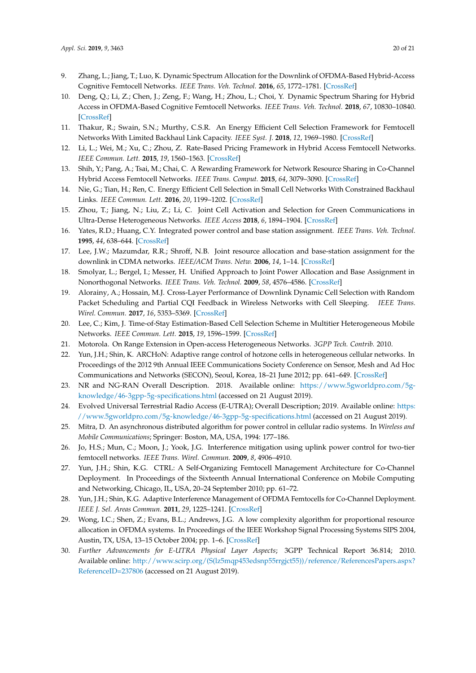- <span id="page-19-0"></span>9. Zhang, L.; Jiang, T.; Luo, K. Dynamic Spectrum Allocation for the Downlink of OFDMA-Based Hybrid-Access Cognitive Femtocell Networks. *IEEE Trans. Veh. Technol.* **2016**, *65*, 1772–1781. [\[CrossRef\]](http://dx.doi.org/10.1109/TVT.2015.2414424)
- <span id="page-19-1"></span>10. Deng, Q.; Li, Z.; Chen, J.; Zeng, F.; Wang, H.; Zhou, L.; Choi, Y. Dynamic Spectrum Sharing for Hybrid Access in OFDMA-Based Cognitive Femtocell Networks. *IEEE Trans. Veh. Technol.* **2018**, *67*, 10830–10840. [\[CrossRef\]](http://dx.doi.org/10.1109/TVT.2018.2869755)
- <span id="page-19-2"></span>11. Thakur, R.; Swain, S.N.; Murthy, C.S.R. An Energy Efficient Cell Selection Framework for Femtocell Networks With Limited Backhaul Link Capacity. *IEEE Syst. J.* **2018**, *12*, 1969–1980. [\[CrossRef\]](http://dx.doi.org/10.1109/JSYST.2017.2657803)
- <span id="page-19-3"></span>12. Li, L.; Wei, M.; Xu, C.; Zhou, Z. Rate-Based Pricing Framework in Hybrid Access Femtocell Networks. *IEEE Commun. Lett.* **2015**, *19*, 1560–1563. [\[CrossRef\]](http://dx.doi.org/10.1109/LCOMM.2015.2445812)
- <span id="page-19-4"></span>13. Shih, Y.; Pang, A.; Tsai, M.; Chai, C. A Rewarding Framework for Network Resource Sharing in Co-Channel Hybrid Access Femtocell Networks. *IEEE Trans. Comput.* **2015**, *64*, 3079–3090. [\[CrossRef\]](http://dx.doi.org/10.1109/TC.2015.2394453)
- <span id="page-19-5"></span>14. Nie, G.; Tian, H.; Ren, C. Energy Efficient Cell Selection in Small Cell Networks With Constrained Backhaul Links. *IEEE Commun. Lett.* **2016**, *20*, 1199–1202. [\[CrossRef\]](http://dx.doi.org/10.1109/LCOMM.2016.2550457)
- <span id="page-19-6"></span>15. Zhou, T.; Jiang, N.; Liu, Z.; Li, C. Joint Cell Activation and Selection for Green Communications in Ultra-Dense Heterogeneous Networks. *IEEE Access* **2018**, *6*, 1894–1904. [\[CrossRef\]](http://dx.doi.org/10.1109/ACCESS.2017.2780818)
- <span id="page-19-7"></span>16. Yates, R.D.; Huang, C.Y. Integrated power control and base station assignment. *IEEE Trans. Veh. Technol.* **1995**, *44*, 638–644. [\[CrossRef\]](http://dx.doi.org/10.1109/25.406632)
- <span id="page-19-8"></span>17. Lee, J.W.; Mazumdar, R.R.; Shroff, N.B. Joint resource allocation and base-station assignment for the downlink in CDMA networks. *IEEE/ACM Trans. Netw.* **2006**, *14*, 1–14. [\[CrossRef\]](http://dx.doi.org/10.1109/TNET.2005.863480)
- <span id="page-19-9"></span>18. Smolyar, L.; Bergel, I.; Messer, H. Unified Approach to Joint Power Allocation and Base Assignment in Nonorthogonal Networks. *IEEE Trans. Veh. Technol.* **2009**, *58*, 4576–4586. [\[CrossRef\]](http://dx.doi.org/10.1109/TVT.2009.2020330)
- <span id="page-19-10"></span>19. Alorainy, A.; Hossain, M.J. Cross-Layer Performance of Downlink Dynamic Cell Selection with Random Packet Scheduling and Partial CQI Feedback in Wireless Networks with Cell Sleeping. *IEEE Trans. Wirel. Commun.* **2017**, *16*, 5353–5369. [\[CrossRef\]](http://dx.doi.org/10.1109/TWC.2017.2709744)
- <span id="page-19-11"></span>20. Lee, C.; Kim, J. Time-of-Stay Estimation-Based Cell Selection Scheme in Multitier Heterogeneous Mobile Networks. *IEEE Commun. Lett.* **2015**, *19*, 1596–1599. [\[CrossRef\]](http://dx.doi.org/10.1109/LCOMM.2015.2422823)
- <span id="page-19-12"></span>21. Motorola. On Range Extension in Open-access Heterogeneous Networks. *3GPP Tech. Contrib.* 2010.
- <span id="page-19-13"></span>22. Yun, J.H.; Shin, K. ARCHoN: Adaptive range control of hotzone cells in heterogeneous cellular networks. In Proceedings of the 2012 9th Annual IEEE Communications Society Conference on Sensor, Mesh and Ad Hoc Communications and Networks (SECON), Seoul, Korea, 18–21 June 2012; pp. 641–649. [\[CrossRef\]](http://dx.doi.org/10.1109/SECON.2012.6275839)
- <span id="page-19-14"></span>23. NR and NG-RAN Overall Description. 2018. Available online: [https://www.5gworldpro.com/5g](https://www.5gworldpro.com/5g-knowledge/46-3gpp-5g-specifications.html)[knowledge/46-3gpp-5g-specifications.html](https://www.5gworldpro.com/5g-knowledge/46-3gpp-5g-specifications.html) (accessed on 21 August 2019).
- <span id="page-19-15"></span>24. Evolved Universal Terrestrial Radio Access (E-UTRA); Overall Description; 2019. Available online: [https:](https://www.5gworldpro.com/5g-knowledge/46-3gpp-5g-specifications.html) [//www.5gworldpro.com/5g-knowledge/46-3gpp-5g-specifications.html](https://www.5gworldpro.com/5g-knowledge/46-3gpp-5g-specifications.html) (accessed on 21 August 2019).
- <span id="page-19-16"></span>25. Mitra, D. An asynchronous distributed algorithm for power control in cellular radio systems. In *Wireless and Mobile Communications*; Springer: Boston, MA, USA, 1994: 177–186.
- <span id="page-19-17"></span>26. Jo, H.S.; Mun, C.; Moon, J.; Yook, J.G. Interference mitigation using uplink power control for two-tier femtocell networks. *IEEE Trans. Wirel. Commun.* **2009**, *8*, 4906–4910.
- 27. Yun, J.H.; Shin, K.G. CTRL: A Self-Organizing Femtocell Management Architecture for Co-Channel Deployment. In Proceedings of the Sixteenth Annual International Conference on Mobile Computing and Networking, Chicago, IL, USA, 20–24 September 2010; pp. 61–72.
- <span id="page-19-18"></span>28. Yun, J.H.; Shin, K.G. Adaptive Interference Management of OFDMA Femtocells for Co-Channel Deployment. *IEEE J. Sel. Areas Commun.* **2011**, *29*, 1225–1241. [\[CrossRef\]](http://dx.doi.org/10.1109/JSAC.2011.110610)
- <span id="page-19-19"></span>29. Wong, I.C.; Shen, Z.; Evans, B.L.; Andrews, J.G. A low complexity algorithm for proportional resource allocation in OFDMA systems. In Proceedings of the IEEE Workshop Signal Processing Systems SIPS 2004, Austin, TX, USA, 13–15 October 2004; pp. 1–6. [\[CrossRef\]](http://dx.doi.org/10.1109/SIPS.2004.1363015)
- <span id="page-19-20"></span>30. *Further Advancements for E-UTRA Physical Layer Aspects*; 3GPP Technical Report 36.814; 2010. Available online: [http://www.scirp.org/\(S\(lz5mqp453edsnp55rrgjct55\)\)/reference/ReferencesPapers.aspx?](http://www.scirp.org/(S(lz5mqp453edsnp55rrgjct55))/reference/ReferencesPapers.aspx?ReferenceID=237806) [ReferenceID=237806](http://www.scirp.org/(S(lz5mqp453edsnp55rrgjct55))/reference/ReferencesPapers.aspx?ReferenceID=237806) (accessed on 21 August 2019).